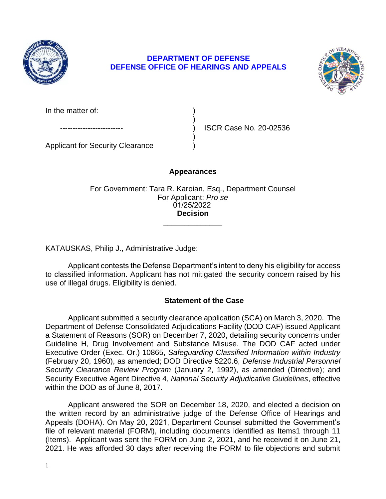

# **DEFENSE OFFICE OF HEARINGS AND APPEALS DEPARTMENT OF DEFENSE**



In the matter of:

ISCR Case No. 20-02536

Applicant for Security Clearance )

# **Appearances**

)

)

**\_\_\_\_\_\_\_\_\_\_\_\_\_\_**  For Government: Tara R. Karoian, Esq., Department Counsel For Applicant: *Pro se*  01/25/2022 **Decision** 

KATAUSKAS, Philip J., Administrative Judge:

 Applicant contests the Defense Department's intent to deny his eligibility for access to classified information. Applicant has not mitigated the security concern raised by his use of illegal drugs. Eligibility is denied.

# **Statement of the Case**

 Applicant submitted a security clearance application (SCA) on March 3, 2020. The Department of Defense Consolidated Adjudications Facility (DOD CAF) issued Applicant a Statement of Reasons (SOR) on December 7, 2020, detailing security concerns under Guideline H, Drug Involvement and Substance Misuse. The DOD CAF acted under  Executive Order (Exec. Or.) 10865, *Safeguarding Classified Information within Industry Security Clearance Review Program* (January 2, 1992), as amended (Directive); and Security Executive Agent Directive 4, *National Security Adjudicative Guidelines*, effective (February 20, 1960), as amended; DOD Directive 5220.6, *Defense Industrial Personnel*  within the DOD as of June 8, 2017.

 Applicant answered the SOR on December 18, 2020, and elected a decision on the written record by an administrative judge of the Defense Office of Hearings and Appeals (DOHA). On May 20, 2021, Department Counsel submitted the Government's file of relevant material (FORM), including documents identified as Items1 through 11 (Items). Applicant was sent the FORM on June 2, 2021, and he received it on June 21, 2021. He was afforded 30 days after receiving the FORM to file objections and submit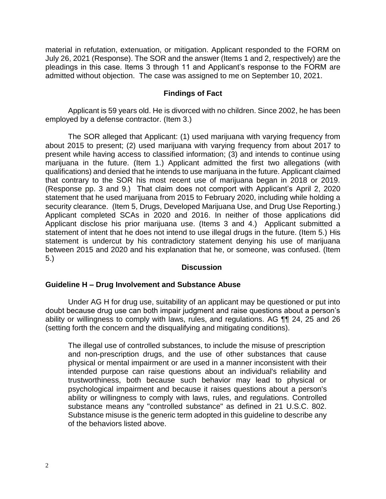material in refutation, extenuation, or mitigation. Applicant responded to the FORM on July 26, 2021 (Response). The SOR and the answer (Items 1 and 2, respectively) are the pleadings in this case. Items 3 through 11 and Applicant's response to the FORM are admitted without objection. The case was assigned to me on September 10, 2021.

### **Findings of Fact**

 Applicant is 59 years old. He is divorced with no children. Since 2002, he has been employed by a defense contractor. (Item 3.)

 The SOR alleged that Applicant: (1) used marijuana with varying frequency from about 2015 to present; (2) used marijuana with varying frequency from about 2017 to present while having access to classified information; (3) and intends to continue using marijuana in the future. (Item 1.) Applicant admitted the first two allegations (with qualifications) and denied that he intends to use marijuana in the future. Applicant claimed that contrary to the SOR his most recent use of marijuana began in 2018 or 2019. (Response pp. 3 and 9.) That claim does not comport with Applicant's April 2, 2020 statement that he used marijuana from 2015 to February 2020, including while holding a security clearance. (Item 5, Drugs, Developed Marijuana Use, and Drug Use Reporting.) Applicant completed SCAs in 2020 and 2016. In neither of those applications did Applicant disclose his prior marijuana use. (Items 3 and 4.) Applicant submitted a statement of intent that he does not intend to use illegal drugs in the future. (Item 5.) His statement is undercut by his contradictory statement denying his use of marijuana between 2015 and 2020 and his explanation that he, or someone, was confused. (Item 5.)

### **Discussion**

### **Guideline H – Drug Involvement and Substance Abuse**

Under AG H for drug use, suitability of an applicant may be questioned or put into doubt because drug use can both impair judgment and raise questions about a person's ability or willingness to comply with laws, rules, and regulations. AG ¶¶ 24, 25 and 26 (setting forth the concern and the disqualifying and mitigating conditions).

The illegal use of controlled substances, to include the misuse of prescription and non-prescription drugs, and the use of other substances that cause physical or mental impairment or are used in a manner inconsistent with their intended purpose can raise questions about an individual's reliability and trustworthiness, both because such behavior may lead to physical or psychological impairment and because it raises questions about a person's ability or willingness to comply with laws, rules, and regulations. Controlled substance means any "controlled substance" as defined in 21 U.S.C. 802. Substance misuse is the generic term adopted in this guideline to describe any of the behaviors listed above.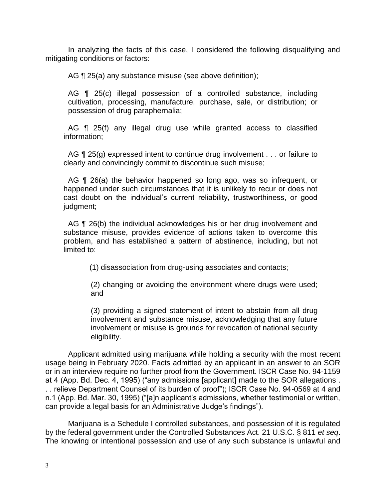In analyzing the facts of this case, I considered the following disqualifying and mitigating conditions or factors:

AG ¶ 25(a) any substance misuse (see above definition);

AG ¶ 25(c) illegal possession of a controlled substance, including cultivation, processing, manufacture, purchase, sale, or distribution; or possession of drug paraphernalia;

 AG ¶ 25(f) any illegal drug use while granted access to classified information;

AG ¶ 25(g) expressed intent to continue drug involvement . . . or failure to clearly and convincingly commit to discontinue such misuse;

AG ¶ 26(a) the behavior happened so long ago, was so infrequent, or happened under such circumstances that it is unlikely to recur or does not cast doubt on the individual's current reliability, trustworthiness, or good judgment;

 substance misuse, provides evidence of actions taken to overcome this problem, and has established a pattern of abstinence, including, but not AG ¶ 26(b) the individual acknowledges his or her drug involvement and limited to:

(1) disassociation from drug-using associates and contacts;

(2) changing or avoiding the environment where drugs were used; and

 (3) providing a signed statement of intent to abstain from all drug involvement and substance misuse, acknowledging that any future involvement or misuse is grounds for revocation of national security eligibility.

Applicant admitted using marijuana while holding a security with the most recent usage being in February 2020. Facts admitted by an applicant in an answer to an SOR or in an interview require no further proof from the Government. ISCR Case No. 94-1159 at 4 (App. Bd. Dec. 4, 1995) ("any admissions [applicant] made to the SOR allegations . . . relieve Department Counsel of its burden of proof"); ISCR Case No. 94-0569 at 4 and n.1 (App. Bd. Mar. 30, 1995) ("[a]n applicant's admissions, whether testimonial or written, can provide a legal basis for an Administrative Judge's findings").

 by the federal government under the Controlled Substances Act. 21 U.S.C. § 811 *et seq*. The knowing or intentional possession and use of any such substance is unlawful and Marijuana is a Schedule I controlled substances, and possession of it is regulated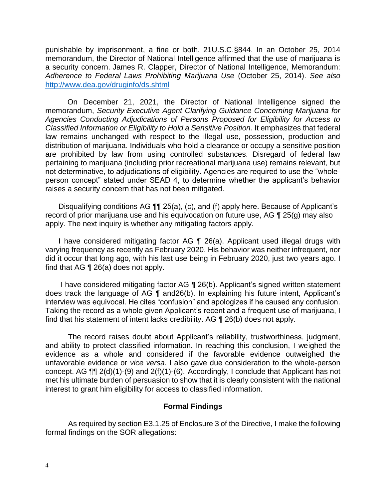punishable by imprisonment, a fine or both. 21U.S.C.§844. In an October 25, 2014 memorandum, the Director of National Intelligence affirmed that the use of marijuana is a security concern. James R. Clapper, Director of National Intelligence, Memorandum:  *Adherence to Federal Laws Prohibiting Marijuana Use* (October 25, 2014). *See also*  http://www.dea.gov/druginfo/ds.shtml

 On December 21, 2021, the Director of National Intelligence signed the  memorandum, *Security Executive Agent Clarifying Guidance Concerning Marijuana for Classified Information or Eligibility to Hold a Sensitive Position.* It emphasizes that federal law remains unchanged with respect to the illegal use, possession, production and distribution of marijuana. Individuals who hold a clearance or occupy a sensitive position are prohibited by law from using controlled substances. Disregard of federal law pertaining to marijuana (including prior recreational marijuana use) remains relevant, but not determinative, to adjudications of eligibility. Agencies are required to use the "whole- person concept" stated under SEAD 4, to determine whether the applicant's behavior *Agencies Conducting Adjudications of Persons Proposed for Eligibility for Access to*  raises a security concern that has not been mitigated.

 record of prior marijuana use and his equivocation on future use, AG ¶ 25(g) may also Disqualifying conditions AG ¶¶ 25(a), (c), and (f) apply here. Because of Applicant's apply. The next inquiry is whether any mitigating factors apply.

 I have considered mitigating factor AG ¶ 26(a). Applicant used illegal drugs with varying frequency as recently as February 2020. His behavior was neither infrequent, nor did it occur that long ago, with his last use being in February 2020, just two years ago. I find that AG ¶ 26(a) does not apply.

I have considered mitigating factor AG ¶ 26(b). Applicant's signed written statement does track the language of AG ¶ and26(b). In explaining his future intent, Applicant's interview was equivocal. He cites "confusion" and apologizes if he caused any confusion. Taking the record as a whole given Applicant's recent and a frequent use of marijuana, I find that his statement of intent lacks credibility. AG ¶ 26(b) does not apply.

 and ability to protect classified information. In reaching this conclusion, I weighed the evidence as a whole and considered if the favorable evidence outweighed the unfavorable evidence or *vice versa*. I also gave due consideration to the whole-person met his ultimate burden of persuasion to show that it is clearly consistent with the national The record raises doubt about Applicant's reliability, trustworthiness, judgment, concept. AG ¶¶ 2(d)(1)-(9) and 2(f)(1)-(6). Accordingly, I conclude that Applicant has not interest to grant him eligibility for access to classified information.

### **Formal Findings**

 As required by section E3.1.25 of Enclosure 3 of the Directive, I make the following formal findings on the SOR allegations: